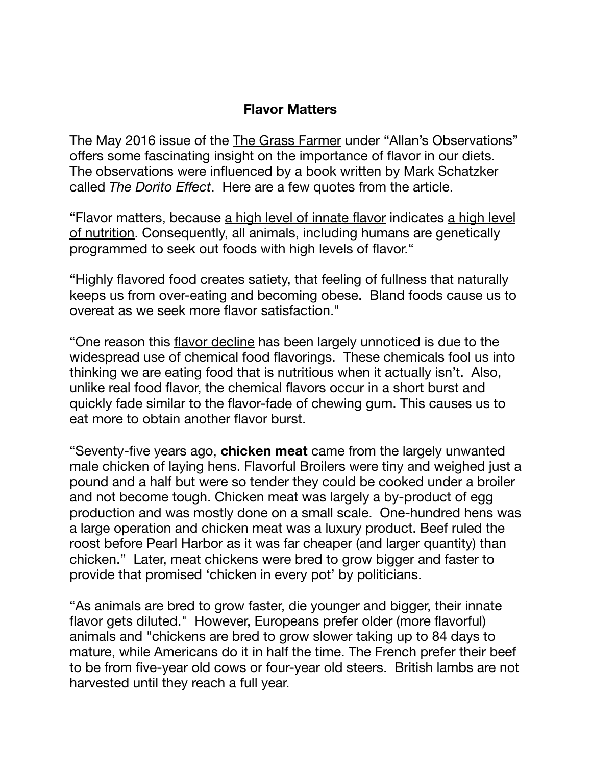## **Flavor Matters**

The May 2016 issue of the The Grass Farmer under "Allan's Observations" offers some fascinating insight on the importance of flavor in our diets. The observations were influenced by a book written by Mark Schatzker called *The Dorito Effect*. Here are a few quotes from the article.

"Flavor matters, because a high level of innate flavor indicates a high level of nutrition. Consequently, all animals, including humans are genetically programmed to seek out foods with high levels of flavor."

"Highly flavored food creates satiety, that feeling of fullness that naturally keeps us from over-eating and becoming obese. Bland foods cause us to overeat as we seek more flavor satisfaction."

"One reason this flavor decline has been largely unnoticed is due to the widespread use of chemical food flavorings. These chemicals fool us into thinking we are eating food that is nutritious when it actually isn't. Also, unlike real food flavor, the chemical flavors occur in a short burst and quickly fade similar to the flavor-fade of chewing gum. This causes us to eat more to obtain another flavor burst.

"Seventy-five years ago, **chicken meat** came from the largely unwanted male chicken of laying hens. Flavorful Broilers were tiny and weighed just a pound and a half but were so tender they could be cooked under a broiler and not become tough. Chicken meat was largely a by-product of egg production and was mostly done on a small scale. One-hundred hens was a large operation and chicken meat was a luxury product. Beef ruled the roost before Pearl Harbor as it was far cheaper (and larger quantity) than chicken." Later, meat chickens were bred to grow bigger and faster to provide that promised 'chicken in every pot' by politicians.

"As animals are bred to grow faster, die younger and bigger, their innate flavor gets diluted." However, Europeans prefer older (more flavorful) animals and "chickens are bred to grow slower taking up to 84 days to mature, while Americans do it in half the time. The French prefer their beef to be from five-year old cows or four-year old steers. British lambs are not harvested until they reach a full year.